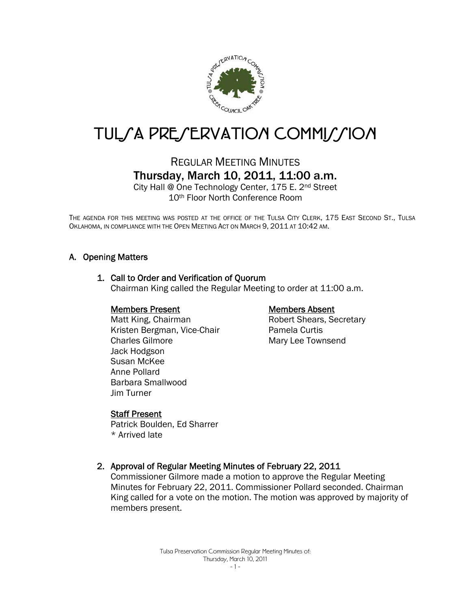

# TUL/A PRE/ERVATION COMMI//ION

# REGULAR MEETING MINUTES Thursday, March 10, 2011, 11:00 a.m.

City Hall @ One Technology Center, 175 E. 2nd Street 10th Floor North Conference Room

THE AGENDA FOR THIS MEETING WAS POSTED AT THE OFFICE OF THE TULSA CITY CLERK, 175 EAST SECOND ST., TULSA OKLAHOMA, IN COMPLIANCE WITH THE OPEN MEETING ACT ON MARCH 9, 2011 AT 10:42 AM.

#### A. Opening Matters

#### 1. Call to Order and Verification of Quorum

Chairman King called the Regular Meeting to order at 11:00 a.m.

#### Members Present

Matt King, Chairman Kristen Bergman, Vice-Chair Charles Gilmore Jack Hodgson Susan McKee Anne Pollard Barbara Smallwood Jim Turner

#### Members Absent

Robert Shears, Secretary Pamela Curtis Mary Lee Townsend

#### Staff Present

Patrick Boulden, Ed Sharrer \* Arrived late

#### 2. Approval of Regular Meeting Minutes of February 22, 2011

Commissioner Gilmore made a motion to approve the Regular Meeting Minutes for February 22, 2011. Commissioner Pollard seconded. Chairman King called for a vote on the motion. The motion was approved by majority of members present.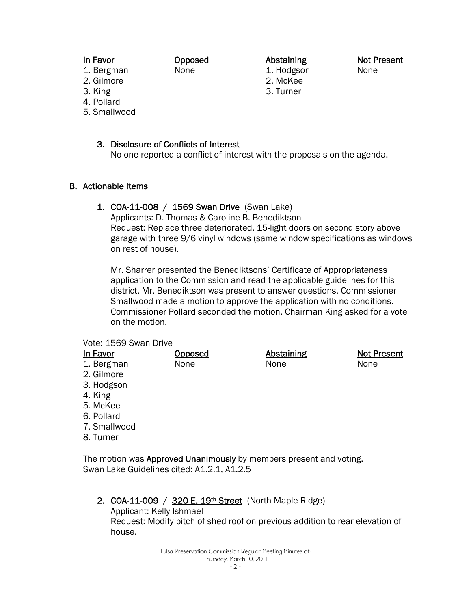Opposed None

Abstaining 1. Hodgson

2. McKee 3. Turner

Not Present None

- 1. Bergman 2. Gilmore
- 3. King

In Favor

- 4. Pollard
- 5. Smallwood

# 3. Disclosure of Conflicts of Interest

No one reported a conflict of interest with the proposals on the agenda.

# B. Actionable Items

# 1. COA-11-008 / 1569 Swan Drive (Swan Lake)

Applicants: D. Thomas & Caroline B. Benediktson Request: Replace three deteriorated, 15-light doors on second story above garage with three 9/6 vinyl windows (same window specifications as windows on rest of house).

Mr. Sharrer presented the Benediktsons' Certificate of Appropriateness application to the Commission and read the applicable guidelines for this district. Mr. Benediktson was present to answer questions. Commissioner Smallwood made a motion to approve the application with no conditions. Commissioner Pollard seconded the motion. Chairman King asked for a vote on the motion.

#### Vote: 1569 Swan Drive

- In Favor 1. Bergman 2. Gilmore 3. Hodgson 4. King 5. McKee 6. Pollard 7. Smallwood 8. Turner **Opposed** None **Abstaining** None Not Present None The motion was **Approved Unanimously** by members present and voting. Swan Lake Guidelines cited: A1.2.1, A1.2.5
	- 2. COA-11-009 / 320 E. 19th Street (North Maple Ridge) Applicant: Kelly Ishmael Request: Modify pitch of shed roof on previous addition to rear elevation of house.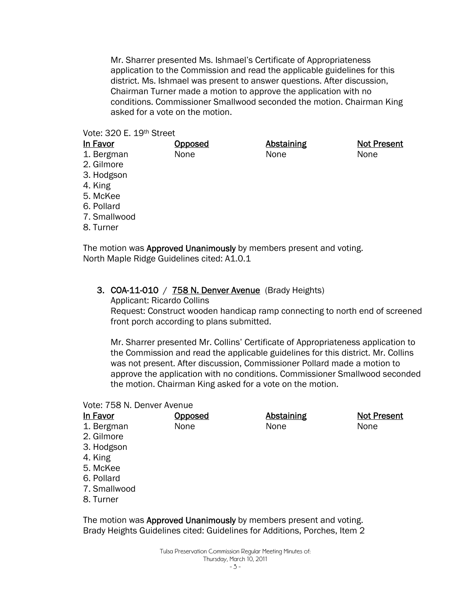Mr. Sharrer presented Ms. Ishmael's Certificate of Appropriateness application to the Commission and read the applicable guidelines for this district. Ms. Ishmael was present to answer questions. After discussion, Chairman Turner made a motion to approve the application with no conditions. Commissioner Smallwood seconded the motion. Chairman King asked for a vote on the motion.

> Abstaining None

Not Present

None

#### Vote: 320 E. 19th Street

# In Favor

- 1. Bergman
- 2. Gilmore
- 3. Hodgson
- 4. King
- 5. McKee
- 6. Pollard
- 7. Smallwood
- 8. Turner

The motion was **Approved Unanimously** by members present and voting. North Maple Ridge Guidelines cited: A1.0.1

#### 3. COA-11-010 / 758 N. Denver Avenue (Brady Heights)

**Opposed** None

Applicant: Ricardo Collins

Request: Construct wooden handicap ramp connecting to north end of screened front porch according to plans submitted.

Mr. Sharrer presented Mr. Collins' Certificate of Appropriateness application to the Commission and read the applicable guidelines for this district. Mr. Collins was not present. After discussion, Commissioner Pollard made a motion to approve the application with no conditions. Commissioner Smallwood seconded the motion. Chairman King asked for a vote on the motion.

#### Vote: 758 N. Denver Avenue

| <b>Opposed</b> | <b>Abstaining</b> | <b>Not Present</b> |
|----------------|-------------------|--------------------|
| None           | None              | None               |
|                |                   |                    |
|                |                   |                    |
|                |                   |                    |
|                |                   |                    |
|                |                   |                    |
|                |                   |                    |
|                |                   |                    |
|                |                   |                    |

The motion was Approved Unanimously by members present and voting. Brady Heights Guidelines cited: Guidelines for Additions, Porches, Item 2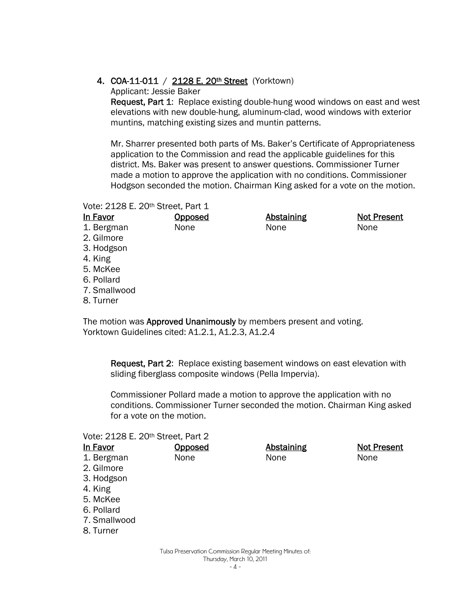# 4. COA-11-011 / 2128 E. 20<sup>th</sup> Street (Yorktown)

Applicant: Jessie Baker

Request, Part 1: Replace existing double-hung wood windows on east and west elevations with new double-hung, aluminum-clad, wood windows with exterior muntins, matching existing sizes and muntin patterns.

Mr. Sharrer presented both parts of Ms. Baker's Certificate of Appropriateness application to the Commission and read the applicable guidelines for this district. Ms. Baker was present to answer questions. Commissioner Turner made a motion to approve the application with no conditions. Commissioner Hodgson seconded the motion. Chairman King asked for a vote on the motion.

#### Vote: 2128 E. 20th Street, Part 1

In Favor 1. Bergman Opposed None

Abstaining None

Not Present None

- 2. Gilmore
- 3. Hodgson
- 4. King
- 5. McKee
- 6. Pollard
- 7. Smallwood
- 8. Turner

The motion was **Approved Unanimously** by members present and voting. Yorktown Guidelines cited: A1.2.1, A1.2.3, A1.2.4

Request, Part 2: Replace existing basement windows on east elevation with sliding fiberglass composite windows (Pella Impervia).

Commissioner Pollard made a motion to approve the application with no conditions. Commissioner Turner seconded the motion. Chairman King asked for a vote on the motion.

#### Vote: 2128 E. 20th Street, Part 2

| In Favor     | <u>Opposed</u> | <b>Abstaining</b> | <b>Not Present</b> |
|--------------|----------------|-------------------|--------------------|
| 1. Bergman   | None           | None              | None               |
| 2. Gilmore   |                |                   |                    |
| 3. Hodgson   |                |                   |                    |
| 4. King      |                |                   |                    |
| 5. McKee     |                |                   |                    |
| 6. Pollard   |                |                   |                    |
| 7. Smallwood |                |                   |                    |
| 8. Turner    |                |                   |                    |
|              |                |                   |                    |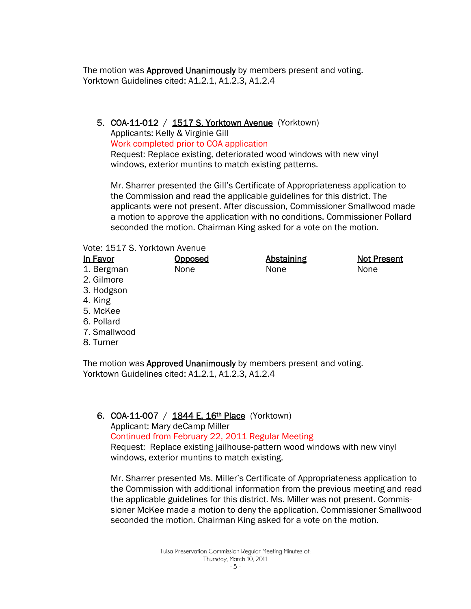The motion was **Approved Unanimously** by members present and voting. Yorktown Guidelines cited: A1.2.1, A1.2.3, A1.2.4

# 5. COA-11-012 / 1517 S. Yorktown Avenue (Yorktown)

Applicants: Kelly & Virginie Gill

Work completed prior to COA application

Request: Replace existing, deteriorated wood windows with new vinyl windows, exterior muntins to match existing patterns.

Mr. Sharrer presented the Gill's Certificate of Appropriateness application to the Commission and read the applicable guidelines for this district. The applicants were not present. After discussion, Commissioner Smallwood made a motion to approve the application with no conditions. Commissioner Pollard seconded the motion. Chairman King asked for a vote on the motion.

#### Vote: 1517 S. Yorktown Avenue

| In Favor     | <b>Opposed</b> | <b>Abstaining</b> | <b>Not Present</b> |
|--------------|----------------|-------------------|--------------------|
| 1. Bergman   | None           | None              | None               |
| 2. Gilmore   |                |                   |                    |
| 3. Hodgson   |                |                   |                    |
| 4. King      |                |                   |                    |
| 5. McKee     |                |                   |                    |
| 6. Pollard   |                |                   |                    |
| 7. Smallwood |                |                   |                    |
| 8. Turner    |                |                   |                    |
|              |                |                   |                    |
|              |                |                   |                    |

The motion was Approved Unanimously by members present and voting. Yorktown Guidelines cited: A1.2.1, A1.2.3, A1.2.4

#### 6. COA-11-007 / 1844 E. 16th Place (Yorktown)

Applicant: Mary deCamp Miller

Continued from February 22, 2011 Regular Meeting

Request: Replace existing jailhouse-pattern wood windows with new vinyl windows, exterior muntins to match existing.

Mr. Sharrer presented Ms. Miller's Certificate of Appropriateness application to the Commission with additional information from the previous meeting and read the applicable guidelines for this district. Ms. Miller was not present. Commissioner McKee made a motion to deny the application. Commissioner Smallwood seconded the motion. Chairman King asked for a vote on the motion.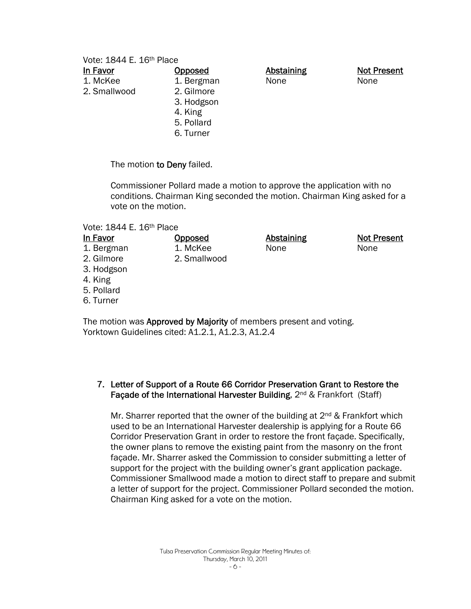Vote: 1844 E. 16<sup>th</sup> Place

| <b>Opposed</b> | <b>Abstaining</b> | <b>Not Present</b> |
|----------------|-------------------|--------------------|
| 1. Bergman     | None              | None               |
| 2. Gilmore     |                   |                    |
| 3. Hodgson     |                   |                    |
| 4. King        |                   |                    |
| 5. Pollard     |                   |                    |
| 6. Turner      |                   |                    |
|                |                   |                    |

The motion to Deny failed.

Commissioner Pollard made a motion to approve the application with no conditions. Chairman King seconded the motion. Chairman King asked for a vote on the motion.

#### Vote: 1844 E. 16th Place

| In Favor                                                           | <b>Opposed</b> | <b>Abstaining</b> | <b>Not Present</b> |
|--------------------------------------------------------------------|----------------|-------------------|--------------------|
| 1. Bergman                                                         | 1. McKee       | None              | None               |
| 2. Gilmore                                                         | 2. Smallwood   |                   |                    |
| 3. Hodgson                                                         |                |                   |                    |
| 4. King                                                            |                |                   |                    |
| 5. Pollard                                                         |                |                   |                    |
| 6. Turner                                                          |                |                   |                    |
|                                                                    |                |                   |                    |
| The motion was Approved by Majority of members present and voting. |                |                   |                    |

Yorktown Guidelines cited: A1.2.1, A1.2.3, A1.2.4

#### 7. Letter of Support of a Route 66 Corridor Preservation Grant to Restore the Façade of the International Harvester Building, 2<sup>nd</sup> & Frankfort (Staff)

Mr. Sharrer reported that the owner of the building at 2<sup>nd</sup> & Frankfort which used to be an International Harvester dealership is applying for a Route 66 Corridor Preservation Grant in order to restore the front façade. Specifically, the owner plans to remove the existing paint from the masonry on the front façade. Mr. Sharrer asked the Commission to consider submitting a letter of support for the project with the building owner's grant application package. Commissioner Smallwood made a motion to direct staff to prepare and submit a letter of support for the project. Commissioner Pollard seconded the motion. Chairman King asked for a vote on the motion.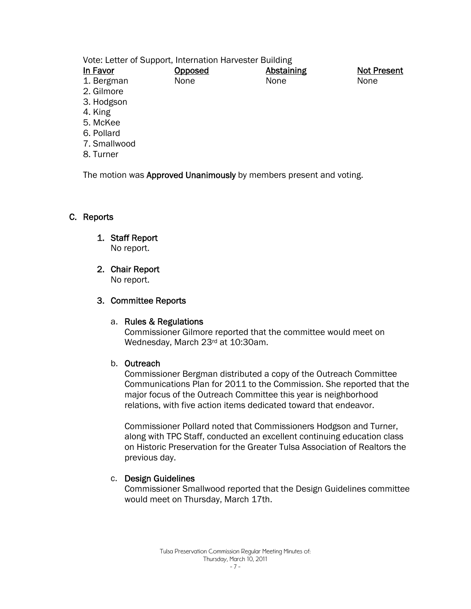Vote: Letter of Support, Internation Harvester Building

| <b>Opposed</b> | Abstaining | <b>Not Present</b> |
|----------------|------------|--------------------|
| None           | None       | None               |
|                |            |                    |
|                |            |                    |
|                |            |                    |

- 4. King
- 5. McKee
- 6. Pollard
- 7. Smallwood
- 8. Turner

The motion was Approved Unanimously by members present and voting.

# C. Reports

# 1. Staff Report

No report.

# 2. Chair Report

No report.

# 3. Committee Reports

#### a. Rules & Regulations

Commissioner Gilmore reported that the committee would meet on Wednesday, March 23rd at 10:30am.

#### b. Outreach

Commissioner Bergman distributed a copy of the Outreach Committee Communications Plan for 2011 to the Commission. She reported that the major focus of the Outreach Committee this year is neighborhood relations, with five action items dedicated toward that endeavor.

Commissioner Pollard noted that Commissioners Hodgson and Turner, along with TPC Staff, conducted an excellent continuing education class on Historic Preservation for the Greater Tulsa Association of Realtors the previous day.

#### c. Design Guidelines

Commissioner Smallwood reported that the Design Guidelines committee would meet on Thursday, March 17th.